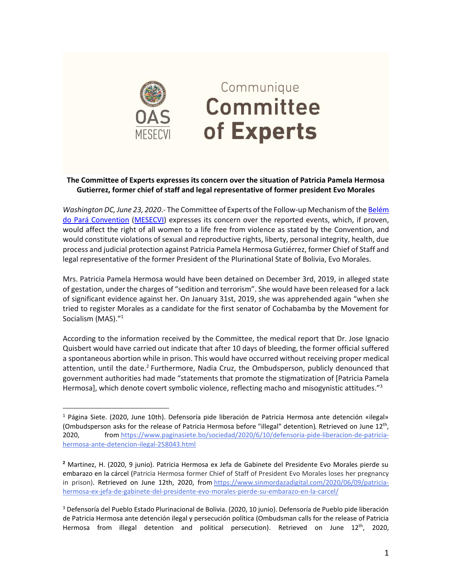

 $\overline{a}$ 

## Communique **Committee** of Experts

## **The Committee of Experts expresses its concern over the situation of Patricia Pamela Hermosa Gutierrez, former chief of staff and legal representative of former president Evo Morales**

*Washington DC, June 23, 2020*.- The Committee of Experts of the Follow-up Mechanism of th[e Belém](https://www.oas.org/en/mesecvi/convention.asp)  [do Pará Convention](https://www.oas.org/en/mesecvi/convention.asp) [\(MESECVI\)](https://www.oas.org/en/mesecvi/default.asp) expresses its concern over the reported events, which, if proven, would affect the right of all women to a life free from violence as stated by the Convention, and would constitute violations of sexual and reproductive rights, liberty, personal integrity, health, due process and judicial protection against Patricia Pamela Hermosa Gutiérrez, former Chief of Staff and legal representative of the former President of the Plurinational State of Bolivia, Evo Morales.

Mrs. Patricia Pamela Hermosa would have been detained on December 3rd, 2019, in alleged state of gestation, under the charges of "sedition and terrorism". She would have been released for a lack of significant evidence against her. On January 31st, 2019, she was apprehended again "when she tried to register Morales as a candidate for the first senator of Cochabamba by the Movement for Socialism (MAS)."<sup>1</sup>

According to the information received by the Committee, the medical report that Dr. Jose Ignacio Quisbert would have carried out indicate that after 10 days of bleeding, the former official suffered a spontaneous abortion while in prison. This would have occurred without receiving proper medical attention, until the date.<sup>2</sup> Furthermore, Nadia Cruz, the Ombudsperson, publicly denounced that government authorities had made "statements that promote the stigmatization of [Patricia Pamela Hermosa], which denote covert symbolic violence, reflecting macho and misogynistic attitudes."<sup>3</sup>

<sup>1</sup> Página Siete. (2020, June 10th). Defensoría pide liberación de Patricia Hermosa ante detención «ilegal» (Ombudsperson asks for the release of Patricia Hermosa before "illegal" detention). Retrieved on June 12<sup>th</sup>, 2020, from [https://www.paginasiete.bo/sociedad/2020/6/10/defensoria-pide-liberacion-de-patricia](https://www.paginasiete.bo/sociedad/2020/6/10/defensoria-pide-liberacion-de-patricia-hermosa-ante-detencion-ilegal-258043.html)[hermosa-ante-detencion-ilegal-258043.html](https://www.paginasiete.bo/sociedad/2020/6/10/defensoria-pide-liberacion-de-patricia-hermosa-ante-detencion-ilegal-258043.html)

**<sup>2</sup>** Martinez, H. (2020, 9 junio). Patricia Hermosa ex Jefa de Gabinete del Presidente Evo Morales pierde su embarazo en la cárcel (Patricia Hermosa former Chief of Staff of President Evo Morales loses her pregnancy in prison). Retrieved on June 12th, 2020, from [https://www.sinmordazadigital.com/2020/06/09/patricia](https://www.sinmordazadigital.com/2020/06/09/patricia-hermosa-ex-jefa-de-gabinete-del-presidente-evo-morales-pierde-su-embarazo-en-la-carcel/)[hermosa-ex-jefa-de-gabinete-del-presidente-evo-morales-pierde-su-embarazo-en-la-carcel/](https://www.sinmordazadigital.com/2020/06/09/patricia-hermosa-ex-jefa-de-gabinete-del-presidente-evo-morales-pierde-su-embarazo-en-la-carcel/)

<sup>3</sup> Defensoría del Pueblo Estado Plurinacional de Bolivia. (2020, 10 junio). Defensoría de Pueblo pide liberación de Patricia Hermosa ante detención ilegal y persecución política (Ombudsman calls for the release of Patricia Hermosa from illegal detention and political persecution). Retrieved on June 12<sup>th</sup>, 2020,